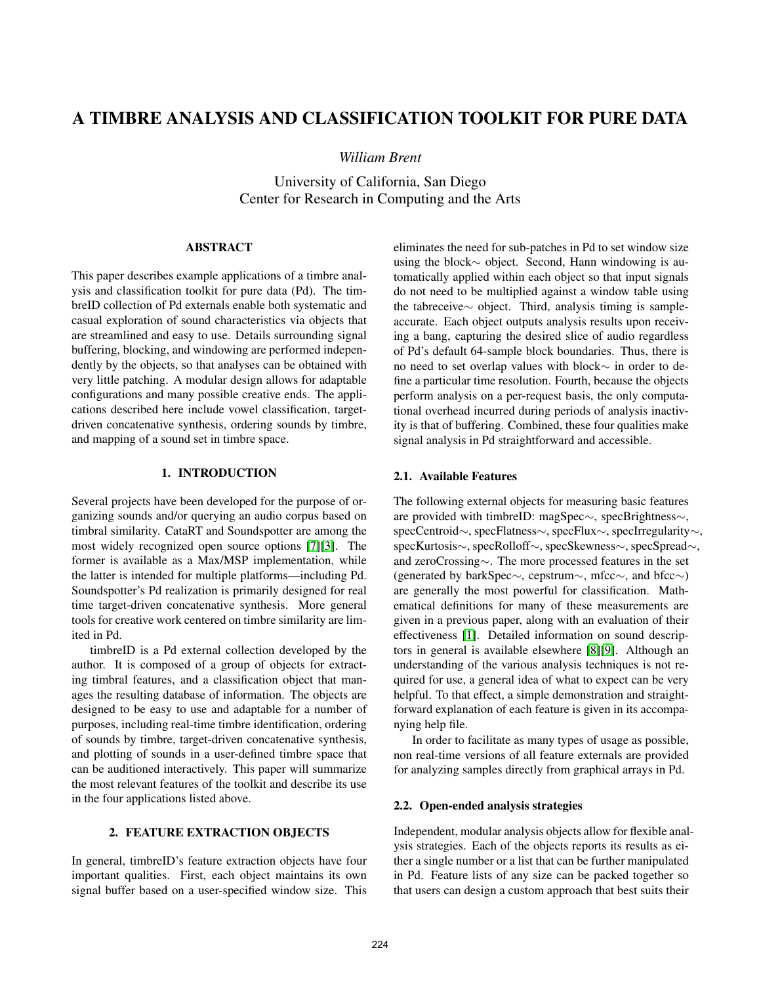# A TIMBRE ANALYSIS AND CLASSIFICATION TOOLKIT FOR PURE DATA

*William Brent*

University of California, San Diego Center for Research in Computing and the Arts

# ABSTRACT

This paper describes example applications of a timbre analysis and classification toolkit for pure data (Pd). The timbreID collection of Pd externals enable both systematic and casual exploration of sound characteristics via objects that are streamlined and easy to use. Details surrounding signal buffering, blocking, and windowing are performed independently by the objects, so that analyses can be obtained with very little patching. A modular design allows for adaptable configurations and many possible creative ends. The applications described here include vowel classification, targetdriven concatenative synthesis, ordering sounds by timbre, and mapping of a sound set in timbre space.

# 1. INTRODUCTION

Several projects have been developed for the purpose of organizing sounds and/or querying an audio corpus based on timbral similarity. CataRT and Soundspotter are among the most widely recognized open source options [7][3]. The former is available as a Max/MSP implementation, while the latter is intended for multiple platforms—including Pd. Soundspotter's Pd realization is primarily designed for real time target-driven concatenative synthesis. More general tools for creative work centered on timbre similarity are limited in Pd.

timbreID is a Pd external collection developed by the author. It is composed of a group of objects for extracting timbral features, and a classification object that manages the resulting database of information. The objects are designed to be easy to use and adaptable for a number of purposes, including real-time timbre identification, ordering of sounds by timbre, target-driven concatenative synthesis, and plotting of sounds in a user-defined timbre space that can be auditioned interactively. This paper will summarize the most relevant features of the toolkit and describe its use in the four applications listed above.

# 2. FEATURE EXTRACTION OBJECTS

In general, timbreID's feature extraction objects have four important qualities. First, each object maintains its own signal buffer based on a user-specified window size. This eliminates the need for sub-patches in Pd to set window size using the block∼ object. Second, Hann windowing is automatically applied within each object so that input signals do not need to be multiplied against a window table using the tabreceive∼ object. Third, analysis timing is sampleaccurate. Each object outputs analysis results upon receiving a bang, capturing the desired slice of audio regardless of Pd's default 64-sample block boundaries. Thus, there is no need to set overlap values with block∼ in order to define a particular time resolution. Fourth, because the objects perform analysis on a per-request basis, the only computational overhead incurred during periods of analysis inactivity is that of buffering. Combined, these four qualities make signal analysis in Pd straightforward and accessible.

## 2.1. Available Features

The following external objects for measuring basic features are provided with timbreID: magSpec∼, specBrightness∼, specCentroid∼, specFlatness∼, specFlux∼, specIrregularity∼, specKurtosis∼, specRolloff∼, specSkewness∼, specSpread∼, and zeroCrossing∼. The more processed features in the set (generated by barkSpec∼, cepstrum∼, mfcc∼, and bfcc∼) are generally the most powerful for classification. Mathematical definitions for many of these measurements are given in a previous paper, along with an evaluation of their effectiveness [1]. Detailed information on sound descriptors in general is available elsewhere [8][9]. Although an understanding of the various analysis techniques is not required for use, a general idea of what to expect can be very helpful. To that effect, a simple demonstration and straightforward explanation of each feature is given in its accompanying help file.

In order to facilitate as many types of usage as possible, non real-time versions of all feature externals are provided for analyzing samples directly from graphical arrays in Pd.

#### 2.2. Open-ended analysis strategies

Independent, modular analysis objects allow for flexible analysis strategies. Each of the objects reports its results as either a single number or a list that can be further manipulated in Pd. Feature lists of any size can be packed together so that users can design a custom approach that best suits their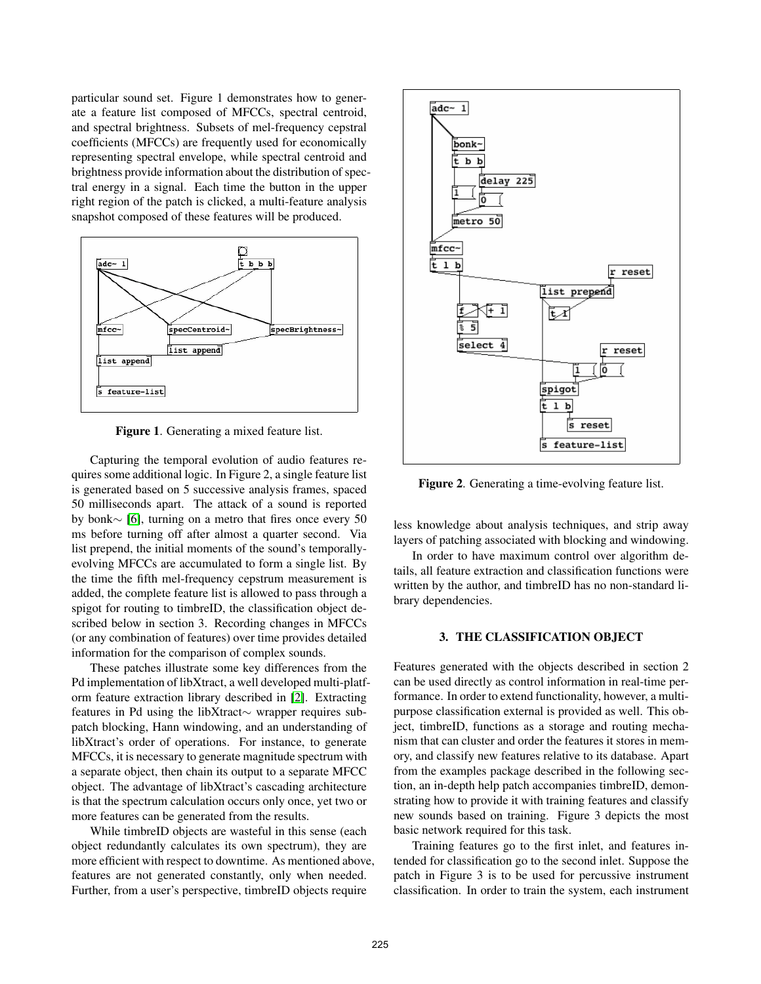particular sound set. Figure 1 demonstrates how to generate a feature list composed of MFCCs, spectral centroid, and spectral brightness. Subsets of mel-frequency cepstral coefficients (MFCCs) are frequently used for economically representing spectral envelope, while spectral centroid and brightness provide information about the distribution of spectral energy in a signal. Each time the button in the upper right region of the patch is clicked, a multi-feature analysis snapshot composed of these features will be produced.



Figure 1. Generating a mixed feature list.

Capturing the temporal evolution of audio features requires some additional logic. In Figure 2, a single feature list is generated based on 5 successive analysis frames, spaced 50 milliseconds apart. The attack of a sound is reported by bonk∼ [6], turning on a metro that fires once every 50 ms before turning off after almost a quarter second. Via list prepend, the initial moments of the sound's temporallyevolving MFCCs are accumulated to form a single list. By the time the fifth mel-frequency cepstrum measurement is added, the complete feature list is allowed to pass through a spigot for routing to timbreID, the classification object described below in section 3. Recording changes in MFCCs (or any combination of features) over time provides detailed information for the comparison of complex sounds.

These patches illustrate some key differences from the Pd implementation of libXtract, a well developed multi-platform feature extraction library described in [2]. Extracting features in Pd using the libXtract∼ wrapper requires subpatch blocking, Hann windowing, and an understanding of libXtract's order of operations. For instance, to generate MFCCs, it is necessary to generate magnitude spectrum with a separate object, then chain its output to a separate MFCC object. The advantage of libXtract's cascading architecture is that the spectrum calculation occurs only once, yet two or more features can be generated from the results.

While timbreID objects are wasteful in this sense (each object redundantly calculates its own spectrum), they are more efficient with respect to downtime. As mentioned above, features are not generated constantly, only when needed. Further, from a user's perspective, timbreID objects require



Figure 2. Generating a time-evolving feature list.

less knowledge about analysis techniques, and strip away layers of patching associated with blocking and windowing.

In order to have maximum control over algorithm details, all feature extraction and classification functions were written by the author, and timbreID has no non-standard library dependencies.

## 3. THE CLASSIFICATION OBJECT

Features generated with the objects described in section 2 can be used directly as control information in real-time performance. In order to extend functionality, however, a multipurpose classification external is provided as well. This object, timbreID, functions as a storage and routing mechanism that can cluster and order the features it stores in memory, and classify new features relative to its database. Apart from the examples package described in the following section, an in-depth help patch accompanies timbreID, demonstrating how to provide it with training features and classify new sounds based on training. Figure 3 depicts the most basic network required for this task.

Training features go to the first inlet, and features intended for classification go to the second inlet. Suppose the patch in Figure 3 is to be used for percussive instrument classification. In order to train the system, each instrument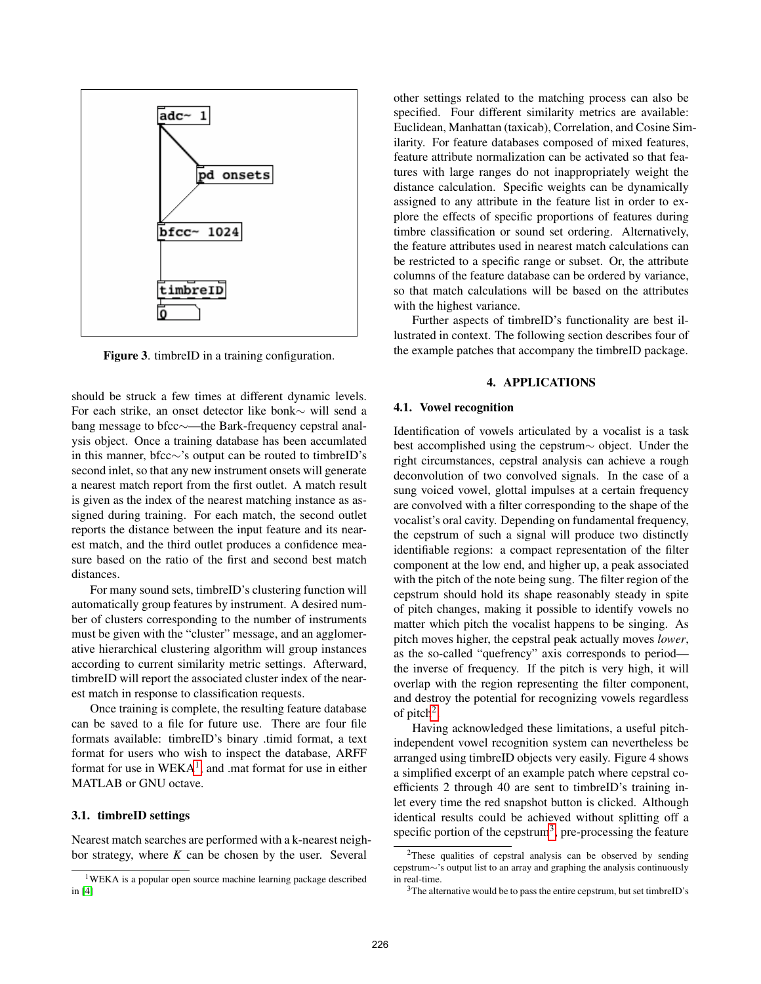

Figure 3. timbreID in a training configuration.

should be struck a few times at different dynamic levels. For each strike, an onset detector like bonk∼ will send a bang message to bfcc∼—the Bark-frequency cepstral analysis object. Once a training database has been accumlated in this manner, bfcc∼'s output can be routed to timbreID's second inlet, so that any new instrument onsets will generate a nearest match report from the first outlet. A match result is given as the index of the nearest matching instance as assigned during training. For each match, the second outlet reports the distance between the input feature and its nearest match, and the third outlet produces a confidence measure based on the ratio of the first and second best match distances.

For many sound sets, timbreID's clustering function will automatically group features by instrument. A desired number of clusters corresponding to the number of instruments must be given with the "cluster" message, and an agglomerative hierarchical clustering algorithm will group instances according to current similarity metric settings. Afterward, timbreID will report the associated cluster index of the nearest match in response to classification requests.

Once training is complete, the resulting feature database can be saved to a file for future use. There are four file formats available: timbreID's binary .timid format, a text format for users who wish to inspect the database, ARFF format for use in  $WEXA<sup>1</sup>$ , and .mat format for use in either MATLAB or GNU octave.

#### 3.1. timbreID settings

Nearest match searches are performed with a k-nearest neighbor strategy, where *K* can be chosen by the user. Several

other settings related to the matching process can also be specified. Four different similarity metrics are available: Euclidean, Manhattan (taxicab), Correlation, and Cosine Similarity. For feature databases composed of mixed features, feature attribute normalization can be activated so that features with large ranges do not inappropriately weight the distance calculation. Specific weights can be dynamically assigned to any attribute in the feature list in order to explore the effects of specific proportions of features during timbre classification or sound set ordering. Alternatively, the feature attributes used in nearest match calculations can be restricted to a specific range or subset. Or, the attribute columns of the feature database can be ordered by variance, so that match calculations will be based on the attributes with the highest variance.

Further aspects of timbreID's functionality are best illustrated in context. The following section describes four of the example patches that accompany the timbreID package.

## 4. APPLICATIONS

## 4.1. Vowel recognition

Identification of vowels articulated by a vocalist is a task best accomplished using the cepstrum∼ object. Under the right circumstances, cepstral analysis can achieve a rough deconvolution of two convolved signals. In the case of a sung voiced vowel, glottal impulses at a certain frequency are convolved with a filter corresponding to the shape of the vocalist's oral cavity. Depending on fundamental frequency, the cepstrum of such a signal will produce two distinctly identifiable regions: a compact representation of the filter component at the low end, and higher up, a peak associated with the pitch of the note being sung. The filter region of the cepstrum should hold its shape reasonably steady in spite of pitch changes, making it possible to identify vowels no matter which pitch the vocalist happens to be singing. As pitch moves higher, the cepstral peak actually moves *lower*, as the so-called "quefrency" axis corresponds to period the inverse of frequency. If the pitch is very high, it will overlap with the region representing the filter component, and destroy the potential for recognizing vowels regardless of pitch<sup>2</sup>.

Having acknowledged these limitations, a useful pitchindependent vowel recognition system can nevertheless be arranged using timbreID objects very easily. Figure 4 shows a simplified excerpt of an example patch where cepstral coefficients 2 through 40 are sent to timbreID's training inlet every time the red snapshot button is clicked. Although identical results could be achieved without splitting off a specific portion of the cepstrum<sup>3</sup>, pre-processing the feature

<sup>1</sup>WEKA is a popular open source machine learning package described in [4]

<sup>2</sup>These qualities of cepstral analysis can be observed by sending cepstrum∼'s output list to an array and graphing the analysis continuously in real-time.

<sup>&</sup>lt;sup>3</sup>The alternative would be to pass the entire cepstrum, but set timbreID's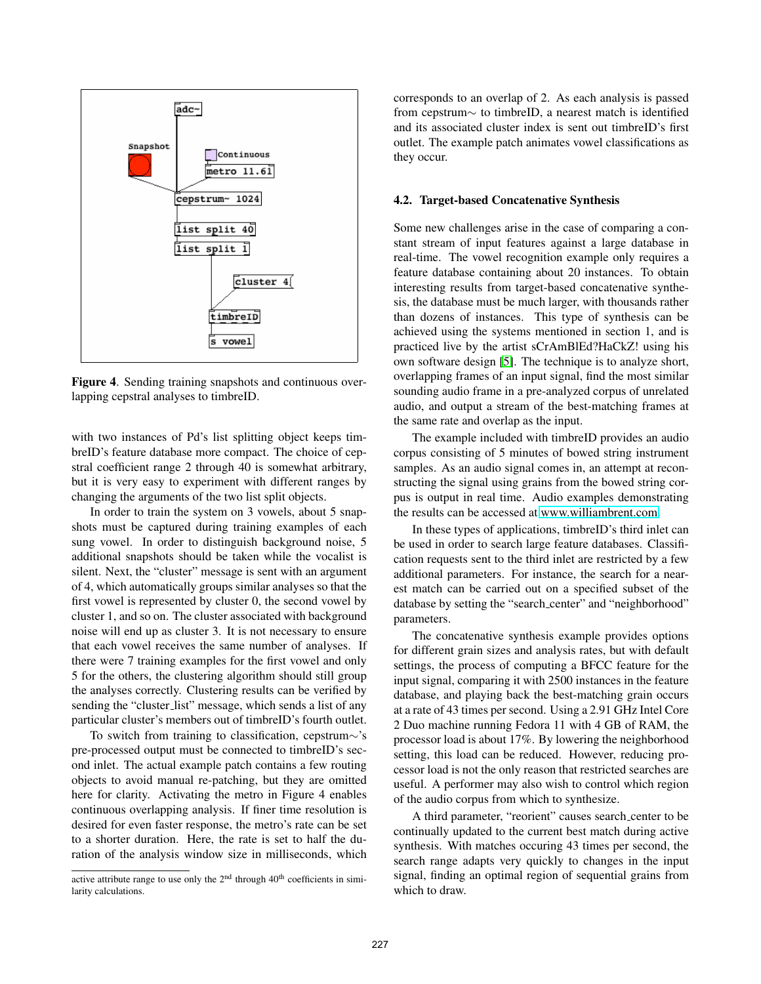

Figure 4. Sending training snapshots and continuous overlapping cepstral analyses to timbreID.

with two instances of Pd's list splitting object keeps timbreID's feature database more compact. The choice of cepstral coefficient range 2 through 40 is somewhat arbitrary, but it is very easy to experiment with different ranges by changing the arguments of the two list split objects.

In order to train the system on 3 vowels, about 5 snapshots must be captured during training examples of each sung vowel. In order to distinguish background noise, 5 additional snapshots should be taken while the vocalist is silent. Next, the "cluster" message is sent with an argument of 4, which automatically groups similar analyses so that the first vowel is represented by cluster 0, the second vowel by cluster 1, and so on. The cluster associated with background noise will end up as cluster 3. It is not necessary to ensure that each vowel receives the same number of analyses. If there were 7 training examples for the first vowel and only 5 for the others, the clustering algorithm should still group the analyses correctly. Clustering results can be verified by sending the "cluster list" message, which sends a list of any particular cluster's members out of timbreID's fourth outlet.

To switch from training to classification, cepstrum∼'s pre-processed output must be connected to timbreID's second inlet. The actual example patch contains a few routing objects to avoid manual re-patching, but they are omitted here for clarity. Activating the metro in Figure 4 enables continuous overlapping analysis. If finer time resolution is desired for even faster response, the metro's rate can be set to a shorter duration. Here, the rate is set to half the duration of the analysis window size in milliseconds, which corresponds to an overlap of 2. As each analysis is passed from cepstrum∼ to timbreID, a nearest match is identified and its associated cluster index is sent out timbreID's first outlet. The example patch animates vowel classifications as they occur.

## 4.2. Target-based Concatenative Synthesis

Some new challenges arise in the case of comparing a constant stream of input features against a large database in real-time. The vowel recognition example only requires a feature database containing about 20 instances. To obtain interesting results from target-based concatenative synthesis, the database must be much larger, with thousands rather than dozens of instances. This type of synthesis can be achieved using the systems mentioned in section 1, and is practiced live by the artist sCrAmBlEd?HaCkZ! using his own software design [5]. The technique is to analyze short, overlapping frames of an input signal, find the most similar sounding audio frame in a pre-analyzed corpus of unrelated audio, and output a stream of the best-matching frames at the same rate and overlap as the input.

The example included with timbreID provides an audio corpus consisting of 5 minutes of bowed string instrument samples. As an audio signal comes in, an attempt at reconstructing the signal using grains from the bowed string corpus is output in real time. Audio examples demonstrating the results can be accessed at [www.williambrent.com.](http://www.williambrent.com)

In these types of applications, timbreID's third inlet can be used in order to search large feature databases. Classification requests sent to the third inlet are restricted by a few additional parameters. For instance, the search for a nearest match can be carried out on a specified subset of the database by setting the "search\_center" and "neighborhood" parameters.

The concatenative synthesis example provides options for different grain sizes and analysis rates, but with default settings, the process of computing a BFCC feature for the input signal, comparing it with 2500 instances in the feature database, and playing back the best-matching grain occurs at a rate of 43 times per second. Using a 2.91 GHz Intel Core 2 Duo machine running Fedora 11 with 4 GB of RAM, the processor load is about 17%. By lowering the neighborhood setting, this load can be reduced. However, reducing processor load is not the only reason that restricted searches are useful. A performer may also wish to control which region of the audio corpus from which to synthesize.

A third parameter, "reorient" causes search center to be continually updated to the current best match during active synthesis. With matches occuring 43 times per second, the search range adapts very quickly to changes in the input signal, finding an optimal region of sequential grains from which to draw.

active attribute range to use only the  $2<sup>nd</sup>$  through  $40<sup>th</sup>$  coefficients in similarity calculations.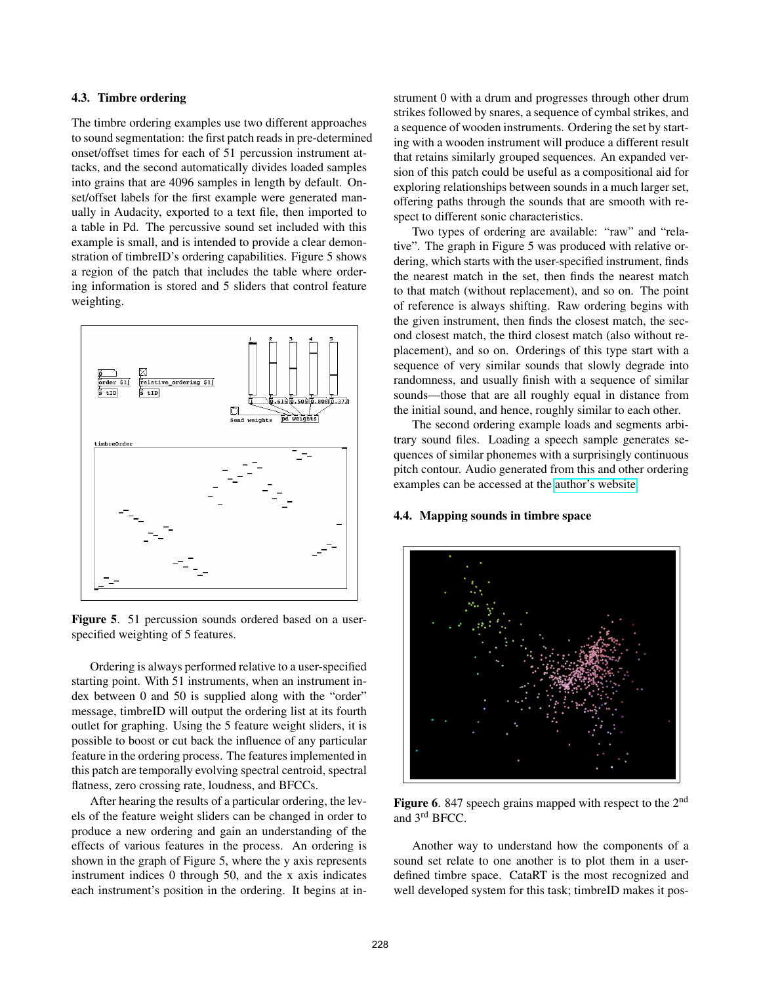## 4.3. Timbre ordering

The timbre ordering examples use two different approaches to sound segmentation: the first patch reads in pre-determined onset/offset times for each of 51 percussion instrument attacks, and the second automatically divides loaded samples into grains that are 4096 samples in length by default. Onset/offset labels for the first example were generated manually in Audacity, exported to a text file, then imported to a table in Pd. The percussive sound set included with this example is small, and is intended to provide a clear demonstration of timbreID's ordering capabilities. Figure 5 shows a region of the patch that includes the table where ordering information is stored and 5 sliders that control feature weighting.



Figure 5. 51 percussion sounds ordered based on a userspecified weighting of 5 features.

Ordering is always performed relative to a user-specified starting point. With 51 instruments, when an instrument index between 0 and 50 is supplied along with the "order" message, timbreID will output the ordering list at its fourth outlet for graphing. Using the 5 feature weight sliders, it is possible to boost or cut back the influence of any particular feature in the ordering process. The features implemented in this patch are temporally evolving spectral centroid, spectral flatness, zero crossing rate, loudness, and BFCCs.

After hearing the results of a particular ordering, the levels of the feature weight sliders can be changed in order to produce a new ordering and gain an understanding of the effects of various features in the process. An ordering is shown in the graph of Figure 5, where the y axis represents instrument indices 0 through 50, and the x axis indicates each instrument's position in the ordering. It begins at instrument 0 with a drum and progresses through other drum strikes followed by snares, a sequence of cymbal strikes, and a sequence of wooden instruments. Ordering the set by starting with a wooden instrument will produce a different result that retains similarly grouped sequences. An expanded version of this patch could be useful as a compositional aid for exploring relationships between sounds in a much larger set, offering paths through the sounds that are smooth with respect to different sonic characteristics.

Two types of ordering are available: "raw" and "relative". The graph in Figure 5 was produced with relative ordering, which starts with the user-specified instrument, finds the nearest match in the set, then finds the nearest match to that match (without replacement), and so on. The point of reference is always shifting. Raw ordering begins with the given instrument, then finds the closest match, the second closest match, the third closest match (also without replacement), and so on. Orderings of this type start with a sequence of very similar sounds that slowly degrade into randomness, and usually finish with a sequence of similar sounds—those that are all roughly equal in distance from the initial sound, and hence, roughly similar to each other.

The second ordering example loads and segments arbitrary sound files. Loading a speech sample generates sequences of similar phonemes with a surprisingly continuous pitch contour. Audio generated from this and other ordering examples can be accessed at the [author's website.](http://www.williambrent.com)

## 4.4. Mapping sounds in timbre space



**Figure 6.** 847 speech grains mapped with respect to the  $2<sup>nd</sup>$ and 3rd BFCC.

Another way to understand how the components of a sound set relate to one another is to plot them in a userdefined timbre space. CataRT is the most recognized and well developed system for this task; timbreID makes it pos